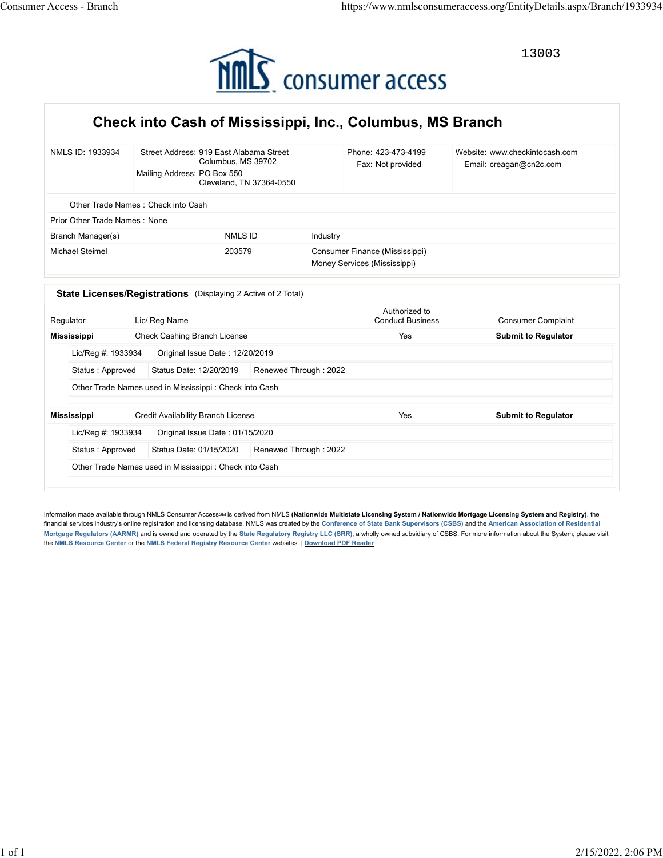

## Check into Cash of Mississippi, Inc., Columbus, MS Branch

| 13003<br>MMS consumer access<br>Check into Cash of Mississippi, Inc., Columbus, MS Branch<br>Street Address: 919 East Alabama Street<br>Website: www.checkintocash.com<br>NMLS ID: 1933934<br>Phone: 423-473-4199<br>Columbus, MS 39702<br>Email: creagan@cn2c.com<br>Fax: Not provided<br>Mailing Address: PO Box 550<br>Cleveland, TN 37364-0550<br>Other Trade Names: Check into Cash<br>Prior Other Trade Names: None<br>Branch Manager(s)<br>NMLS ID<br>Industry<br>Consumer Finance (Mississippi)<br><b>Michael Steimel</b><br>203579<br>Money Services (Mississippi)<br>State Licenses/Registrations (Displaying 2 Active of 2 Total)<br>Authorized to<br>Regulator<br>Lic/ Reg Name<br><b>Conduct Business</b><br><b>Consumer Complaint</b><br>Check Cashing Branch License<br><b>Mississippi</b><br>Yes<br><b>Submit to Regulator</b><br>Status: Approved Status Date: 12/20/2019 Renewed Through: 2022<br>Other Trade Names used in Mississippi : Check into Cash |
|-----------------------------------------------------------------------------------------------------------------------------------------------------------------------------------------------------------------------------------------------------------------------------------------------------------------------------------------------------------------------------------------------------------------------------------------------------------------------------------------------------------------------------------------------------------------------------------------------------------------------------------------------------------------------------------------------------------------------------------------------------------------------------------------------------------------------------------------------------------------------------------------------------------------------------------------------------------------------------|
|                                                                                                                                                                                                                                                                                                                                                                                                                                                                                                                                                                                                                                                                                                                                                                                                                                                                                                                                                                             |
|                                                                                                                                                                                                                                                                                                                                                                                                                                                                                                                                                                                                                                                                                                                                                                                                                                                                                                                                                                             |
|                                                                                                                                                                                                                                                                                                                                                                                                                                                                                                                                                                                                                                                                                                                                                                                                                                                                                                                                                                             |
|                                                                                                                                                                                                                                                                                                                                                                                                                                                                                                                                                                                                                                                                                                                                                                                                                                                                                                                                                                             |
|                                                                                                                                                                                                                                                                                                                                                                                                                                                                                                                                                                                                                                                                                                                                                                                                                                                                                                                                                                             |
|                                                                                                                                                                                                                                                                                                                                                                                                                                                                                                                                                                                                                                                                                                                                                                                                                                                                                                                                                                             |
|                                                                                                                                                                                                                                                                                                                                                                                                                                                                                                                                                                                                                                                                                                                                                                                                                                                                                                                                                                             |
|                                                                                                                                                                                                                                                                                                                                                                                                                                                                                                                                                                                                                                                                                                                                                                                                                                                                                                                                                                             |
|                                                                                                                                                                                                                                                                                                                                                                                                                                                                                                                                                                                                                                                                                                                                                                                                                                                                                                                                                                             |
|                                                                                                                                                                                                                                                                                                                                                                                                                                                                                                                                                                                                                                                                                                                                                                                                                                                                                                                                                                             |
|                                                                                                                                                                                                                                                                                                                                                                                                                                                                                                                                                                                                                                                                                                                                                                                                                                                                                                                                                                             |
|                                                                                                                                                                                                                                                                                                                                                                                                                                                                                                                                                                                                                                                                                                                                                                                                                                                                                                                                                                             |
|                                                                                                                                                                                                                                                                                                                                                                                                                                                                                                                                                                                                                                                                                                                                                                                                                                                                                                                                                                             |
|                                                                                                                                                                                                                                                                                                                                                                                                                                                                                                                                                                                                                                                                                                                                                                                                                                                                                                                                                                             |
| <b>Credit Availability Branch License</b><br><b>Submit to Regulator</b><br>Mississippi<br>Yes                                                                                                                                                                                                                                                                                                                                                                                                                                                                                                                                                                                                                                                                                                                                                                                                                                                                               |
| Lic/Reg #: 1933934<br>Original Issue Date: 01/15/2020                                                                                                                                                                                                                                                                                                                                                                                                                                                                                                                                                                                                                                                                                                                                                                                                                                                                                                                       |
| Status Date: 01/15/2020<br>Renewed Through: 2022<br>Status: Approved                                                                                                                                                                                                                                                                                                                                                                                                                                                                                                                                                                                                                                                                                                                                                                                                                                                                                                        |
| Other Trade Names used in Mississippi: Check into Cash                                                                                                                                                                                                                                                                                                                                                                                                                                                                                                                                                                                                                                                                                                                                                                                                                                                                                                                      |
| Information made available through NMLS Consumer AccessSM is derived from NMLS (Nationwide Multistate Licensing System / Nationwide Mortgage Licensing System and Registry), the                                                                                                                                                                                                                                                                                                                                                                                                                                                                                                                                                                                                                                                                                                                                                                                            |